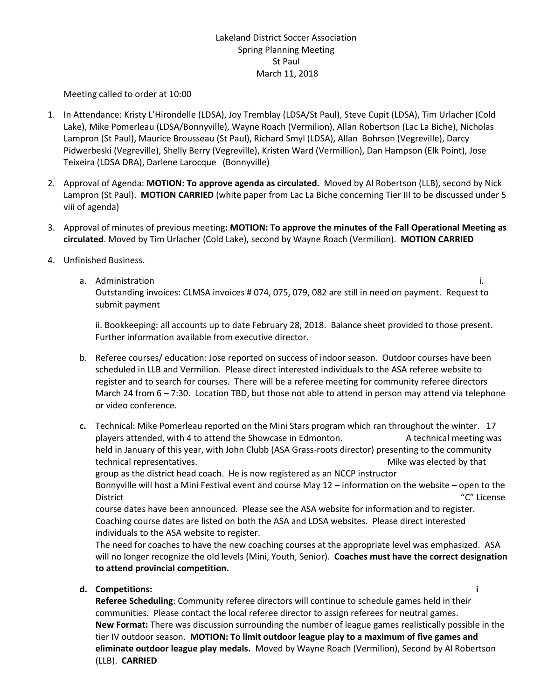# Lakeland District Soccer Association Spring Planning Meeting St Paul March 11, 2018

Meeting called to order at 10:00

- 1. In Attendance: Kristy L'Hirondelle (LDSA), Joy Tremblay (LDSA/St Paul), Steve Cupit (LDSA), Tim Urlacher (Cold Lake), Mike Pomerleau (LDSA/Bonnyville), Wayne Roach (Vermilion), Allan Robertson (Lac La Biche), Nicholas Lampron (St Paul), Maurice Brousseau (St Paul), Richard Smyl (LDSA), Allan Bohrson (Vegreville), Darcy Pidwerbeski (Vegreville), Shelly Berry (Vegreville), Kristen Ward (Vermillion), Dan Hampson (Elk Point), Jose Teixeira (LDSA DRA), Darlene Larocque (Bonnyville)
- 2. Approval of Agenda: **MOTION: To approve agenda as circulated.** Moved by Al Robertson (LLB), second by Nick Lampron (St Paul). **MOTION CARRIED** (white paper from Lac La Biche concerning Tier III to be discussed under 5 viii of agenda)
- 3. Approval of minutes of previous meeting**: MOTION: To approve the minutes of the Fall Operational Meeting as circulated**. Moved by Tim Urlacher (Cold Lake), second by Wayne Roach (Vermilion). **MOTION CARRIED**
- 4. Unfinished Business.
	- a. Administration i. Outstanding invoices: CLMSA invoices # 074, 075, 079, 082 are still in need on payment. Request to submit payment

ii. Bookkeeping: all accounts up to date February 28, 2018. Balance sheet provided to those present. Further information available from executive director.

- b. Referee courses/ education: Jose reported on success of indoor season. Outdoor courses have been scheduled in LLB and Vermilion. Please direct interested individuals to the ASA referee website to register and to search for courses. There will be a referee meeting for community referee directors March 24 from 6 – 7:30. Location TBD, but those not able to attend in person may attend via telephone or video conference.
- **c.** Technical: Mike Pomerleau reported on the Mini Stars program which ran throughout the winter. 17 players attended, with 4 to attend the Showcase in Edmonton. A technical meeting was held in January of this year, with John Clubb (ASA Grass-roots director) presenting to the community technical representatives. The same state of the set of the Mike was elected by that group as the district head coach. He is now registered as an NCCP instructor Bonnyville will host a Mini Festival event and course May 12 – information on the website – open to the District "C" License course dates have been announced. Please see the ASA website for information and to register. Coaching course dates are listed on both the ASA and LDSA websites. Please direct interested

individuals to the ASA website to register. The need for coaches to have the new coaching courses at the appropriate level was emphasized. ASA will no longer recognize the old levels (Mini, Youth, Senior). **Coaches must have the correct designation to attend provincial competition.**

**d. Competitions: i** 

**Referee Scheduling**: Community referee directors will continue to schedule games held in their communities. Please contact the local referee director to assign referees for neutral games. **New Format:** There was discussion surrounding the number of league games realistically possible in the tier IV outdoor season. **MOTION: To limit outdoor league play to a maximum of five games and eliminate outdoor league play medals.** Moved by Wayne Roach (Vermilion), Second by Al Robertson (LLB). **CARRIED**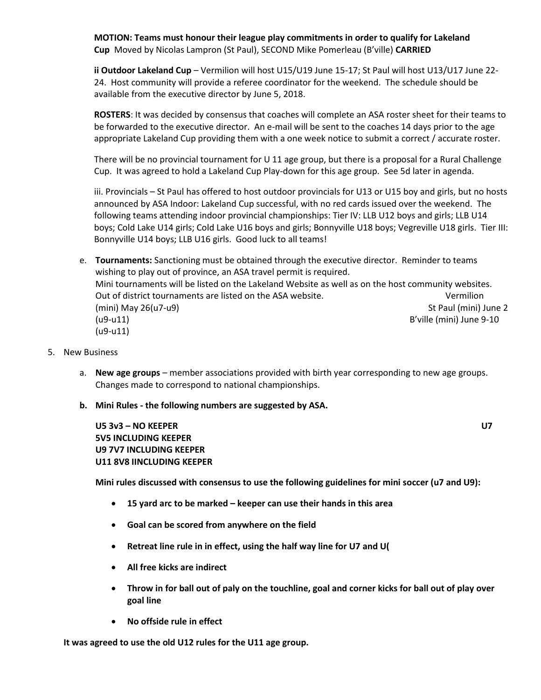**MOTION: Teams must honour their league play commitments in order to qualify for Lakeland Cup** Moved by Nicolas Lampron (St Paul), SECOND Mike Pomerleau (B'ville) **CARRIED**

**ii Outdoor Lakeland Cup** – Vermilion will host U15/U19 June 15-17; St Paul will host U13/U17 June 22- 24. Host community will provide a referee coordinator for the weekend. The schedule should be available from the executive director by June 5, 2018.

**ROSTERS**: It was decided by consensus that coaches will complete an ASA roster sheet for their teams to be forwarded to the executive director. An e-mail will be sent to the coaches 14 days prior to the age appropriate Lakeland Cup providing them with a one week notice to submit a correct / accurate roster.

There will be no provincial tournament for U 11 age group, but there is a proposal for a Rural Challenge Cup. It was agreed to hold a Lakeland Cup Play-down for this age group. See 5d later in agenda.

iii. Provincials – St Paul has offered to host outdoor provincials for U13 or U15 boy and girls, but no hosts announced by ASA Indoor: Lakeland Cup successful, with no red cards issued over the weekend. The following teams attending indoor provincial championships: Tier IV: LLB U12 boys and girls; LLB U14 boys; Cold Lake U14 girls; Cold Lake U16 boys and girls; Bonnyville U18 boys; Vegreville U18 girls. Tier III: Bonnyville U14 boys; LLB U16 girls. Good luck to all teams!

e. **Tournaments:** Sanctioning must be obtained through the executive director. Reminder to teams wishing to play out of province, an ASA travel permit is required. Mini tournaments will be listed on the Lakeland Website as well as on the host community websites. Out of district tournaments are listed on the ASA website. The Vermilion of the Vermilion (mini) May 26(u7-u9)St Paul (mini) June 2 (u9-u11)B'ville (mini) June 9-10 (u9-u11)

- 5. New Business
	- a. **New age groups** member associations provided with birth year corresponding to new age groups. Changes made to correspond to national championships.
	- **b. Mini Rules - the following numbers are suggested by ASA.**

**U5 3v3 – NO KEEPER U7 5V5 INCLUDING KEEPER U9 7V7 INCLUDING KEEPER U11 8V8 IINCLUDING KEEPER**

**Mini rules discussed with consensus to use the following guidelines for mini soccer (u7 and U9):**

- **15 yard arc to be marked – keeper can use their hands in this area**
- **Goal can be scored from anywhere on the field**
- **Retreat line rule in in effect, using the half way line for U7 and U(**
- **All free kicks are indirect**
- **Throw in for ball out of paly on the touchline, goal and corner kicks for ball out of play over goal line**
- **No offside rule in effect**

**It was agreed to use the old U12 rules for the U11 age group.**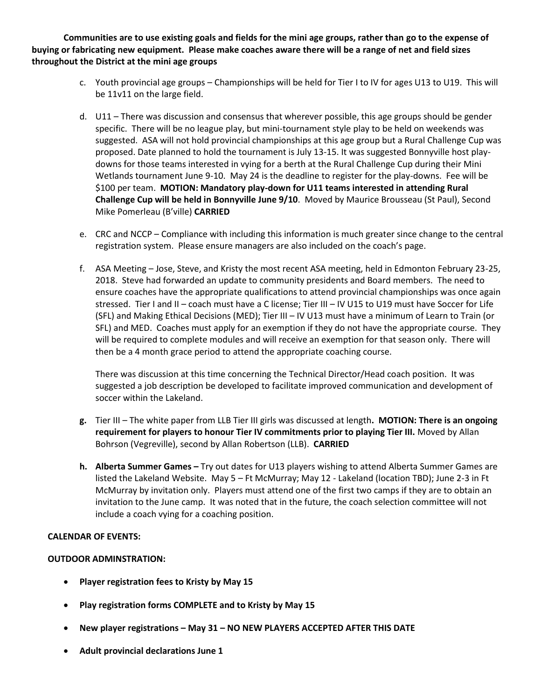**Communities are to use existing goals and fields for the mini age groups, rather than go to the expense of buying or fabricating new equipment. Please make coaches aware there will be a range of net and field sizes throughout the District at the mini age groups**

- c. Youth provincial age groups Championships will be held for Tier I to IV for ages U13 to U19. This will be 11v11 on the large field.
- d. U11 There was discussion and consensus that wherever possible, this age groups should be gender specific. There will be no league play, but mini-tournament style play to be held on weekends was suggested. ASA will not hold provincial championships at this age group but a Rural Challenge Cup was proposed. Date planned to hold the tournament is July 13-15. It was suggested Bonnyville host playdowns for those teams interested in vying for a berth at the Rural Challenge Cup during their Mini Wetlands tournament June 9-10. May 24 is the deadline to register for the play-downs. Fee will be \$100 per team. **MOTION: Mandatory play-down for U11 teams interested in attending Rural Challenge Cup will be held in Bonnyville June 9/10**. Moved by Maurice Brousseau (St Paul), Second Mike Pomerleau (B'ville) **CARRIED**
- e. CRC and NCCP Compliance with including this information is much greater since change to the central registration system. Please ensure managers are also included on the coach's page.
- f. ASA Meeting Jose, Steve, and Kristy the most recent ASA meeting, held in Edmonton February 23-25, 2018. Steve had forwarded an update to community presidents and Board members. The need to ensure coaches have the appropriate qualifications to attend provincial championships was once again stressed. Tier I and II – coach must have a C license; Tier III – IV U15 to U19 must have Soccer for Life (SFL) and Making Ethical Decisions (MED); Tier III – IV U13 must have a minimum of Learn to Train (or SFL) and MED. Coaches must apply for an exemption if they do not have the appropriate course. They will be required to complete modules and will receive an exemption for that season only. There will then be a 4 month grace period to attend the appropriate coaching course.

There was discussion at this time concerning the Technical Director/Head coach position. It was suggested a job description be developed to facilitate improved communication and development of soccer within the Lakeland.

- **g.** Tier III The white paper from LLB Tier III girls was discussed at length**. MOTION: There is an ongoing requirement for players to honour Tier IV commitments prior to playing Tier III.** Moved by Allan Bohrson (Vegreville), second by Allan Robertson (LLB). **CARRIED**
- **h. Alberta Summer Games –** Try out dates for U13 players wishing to attend Alberta Summer Games are listed the Lakeland Website. May 5 – Ft McMurray; May 12 - Lakeland (location TBD); June 2-3 in Ft McMurray by invitation only. Players must attend one of the first two camps if they are to obtain an invitation to the June camp. It was noted that in the future, the coach selection committee will not include a coach vying for a coaching position.

# **CALENDAR OF EVENTS:**

# **OUTDOOR ADMINSTRATION:**

- **Player registration fees to Kristy by May 15**
- **Play registration forms COMPLETE and to Kristy by May 15**
- **New player registrations – May 31 – NO NEW PLAYERS ACCEPTED AFTER THIS DATE**
- **Adult provincial declarations June 1**